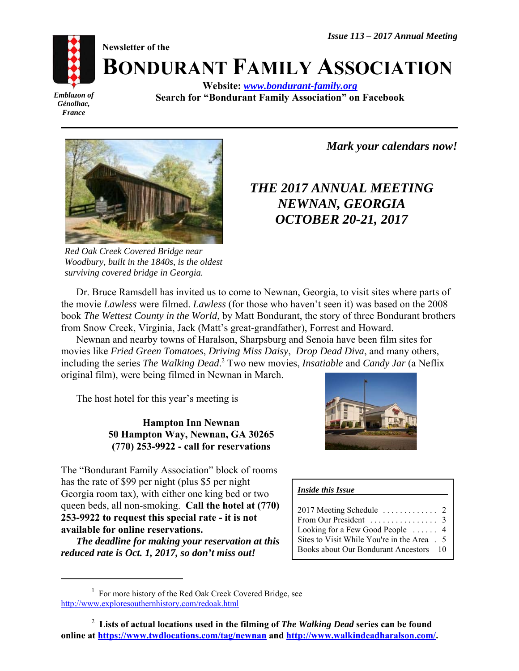**Newsletter of the**



**BONDURANT FAMILY ASSOCIATION**

*Emblazon of Génolhac, France*

**Website:** *www.bondurant-family.org* **Search for "Bondurant Family Association" on Facebook**



*Red Oak Creek Covered Bridge near Woodbury, built in the 1840s, is the oldest surviving covered bridge in Georgia.*

*<sup>1</sup> Mark your calendars now!*

# *THE 2017 ANNUAL MEETING NEWNAN, GEORGIA OCTOBER 20-21, 2017*

Dr. Bruce Ramsdell has invited us to come to Newnan, Georgia, to visit sites where parts of the movie *Lawless* were filmed. *Lawless* (for those who haven't seen it) was based on the 2008 book *The Wettest County in the World*, by Matt Bondurant, the story of three Bondurant brothers from Snow Creek, Virginia, Jack (Matt's great-grandfather), Forrest and Howard.

Newnan and nearby towns of Haralson, Sharpsburg and Senoia have been film sites for movies like *Fried Green Tomatoes*, *Driving Miss Daisy*, *Drop Dead Diva*, and many others, including the series *The Walking Dead*.<sup>2</sup> Two new movies, *Insatiable* and *Candy Jar* (a Neflix original film), were being filmed in Newnan in March.

The host hotel for this year's meeting is

**Hampton Inn Newnan 50 Hampton Way, Newnan, GA 30265 (770) 253-9922 - call for reservations**

The "Bondurant Family Association" block of rooms has the rate of \$99 per night (plus \$5 per night Georgia room tax), with either one king bed or two queen beds, all non-smoking. **Call the hotel at (770) 253-9922 to request this special rate - it is not available for online reservations.** 

*The deadline for making your reservation at this reduced rate is Oct. 1, 2017, so don't miss out!*



#### *Inside this Issue*

| $2017$ Meeting Schedule $\ldots \ldots \ldots 2$   |  |
|----------------------------------------------------|--|
|                                                    |  |
| From Our President $\ldots \ldots \ldots \ldots$ 3 |  |
| Looking for a Few Good People $\dots$ 4            |  |
| Sites to Visit While You're in the Area . 5        |  |
| Books about Our Bondurant Ancestors 10             |  |

<sup>&</sup>lt;sup>1</sup> For more history of the Red Oak Creek Covered Bridge, see http://www.exploresouthernhistory.com/redoak.html

<sup>2</sup>  **Lists of actual locations used in the filming of** *The Walking Dead* **series can be found** online at https://www.twdlocations.com/tag/newnan and http://www.walkindeadharalson.com/.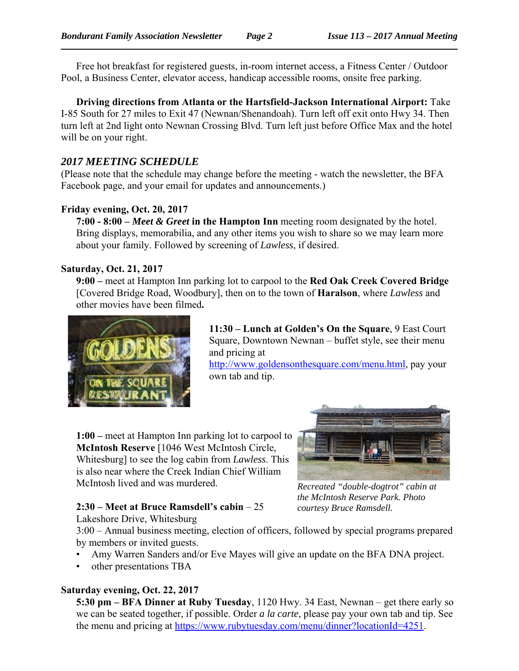Free hot breakfast for registered guests, in-room internet access, a Fitness Center / Outdoor Pool, a Business Center, elevator access, handicap accessible rooms, onsite free parking.

**Driving directions from Atlanta or the Hartsfield-Jackson International Airport:** Take I-85 South for 27 miles to Exit 47 (Newnan/Shenandoah). Turn left off exit onto Hwy 34. Then turn left at 2nd light onto Newnan Crossing Blvd. Turn left just before Office Max and the hotel will be on your right.

# *2017 MEETING SCHEDULE*

(Please note that the schedule may change before the meeting - watch the newsletter, the BFA Facebook page, and your email for updates and announcements.)

## **Friday evening, Oct. 20, 2017**

**7:00 - 8:00 –** *Meet & Greet* **in the Hampton Inn** meeting room designated by the hotel. Bring displays, memorabilia, and any other items you wish to share so we may learn more about your family. Followed by screening of *Lawless*, if desired.

### **Saturday, Oct. 21, 2017**

**9:00 –** meet at Hampton Inn parking lot to carpool to the **Red Oak Creek Covered Bridge** [Covered Bridge Road, Woodbury], then on to the town of **Haralson**, where *Lawless* and other movies have been filmed**.** 



**11:30 – Lunch at Golden's On the Square**, 9 East Court Square, Downtown Newnan – buffet style, see their menu and pricing at

http://www.goldensonthesquare.com/menu.html, pay your own tab and tip.

**1:00 –** meet at Hampton Inn parking lot to carpool to **McIntosh Reserve** [1046 West McIntosh Circle, Whitesburg] to see the log cabin from *Lawless*. This is also near where the Creek Indian Chief William McIntosh lived and was murdered.

# **2:30 – Meet at Bruce Ramsdell's cabin** – 25



*Recreated "double-dogtrot" cabin at the McIntosh Reserve Park. Photo courtesy Bruce Ramsdell.*

Lakeshore Drive, Whitesburg 3:00 – Annual business meeting, election of officers, followed by special programs prepared by members or invited guests.

- Amy Warren Sanders and/or Eve Mayes will give an update on the BFA DNA project.
- other presentations TBA

# **Saturday evening, Oct. 22, 2017**

**5:30 pm – BFA Dinner at Ruby Tuesday**, 1120 Hwy. 34 East, Newnan – get there early so we can be seated together, if possible. Order *a la carte*, please pay your own tab and tip. See the menu and pricing at https://www.rubytuesday.com/menu/dinner?locationId=4251.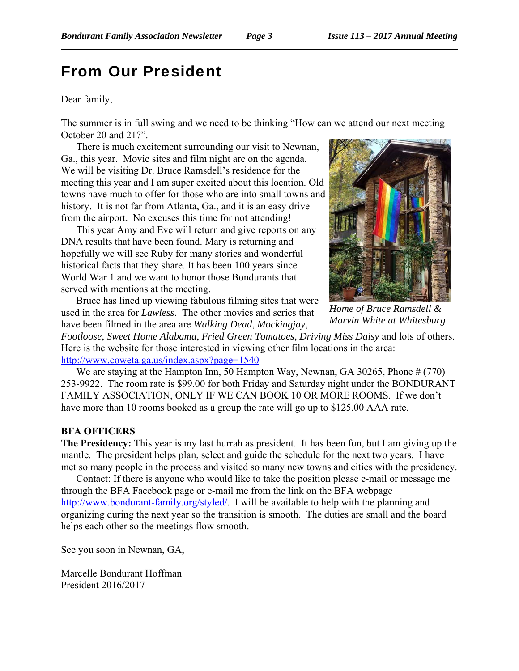# From Our President

#### Dear family,

The summer is in full swing and we need to be thinking "How can we attend our next meeting October 20 and 21?".

There is much excitement surrounding our visit to Newnan, Ga., this year. Movie sites and film night are on the agenda. We will be visiting Dr. Bruce Ramsdell's residence for the meeting this year and I am super excited about this location. Old towns have much to offer for those who are into small towns and history. It is not far from Atlanta, Ga., and it is an easy drive from the airport. No excuses this time for not attending!

This year Amy and Eve will return and give reports on any DNA results that have been found. Mary is returning and hopefully we will see Ruby for many stories and wonderful historical facts that they share. It has been 100 years since World War 1 and we want to honor those Bondurants that served with mentions at the meeting.

Bruce has lined up viewing fabulous filming sites that were used in the area for *Lawless*. The other movies and series that have been filmed in the area are *Walking Dead*, *Mockingjay*,



*Home of Bruce Ramsdell & Marvin White at Whitesburg*

*Footloose*, *Sweet Home Alabama*, *Fried Green Tomatoes*, *Driving Miss Daisy* and lots of others. Here is the website for those interested in viewing other film locations in the area: http://www.coweta.ga.us/index.aspx?page=1540

We are staying at the Hampton Inn, 50 Hampton Way, Newnan, GA 30265, Phone # (770) 253-9922. The room rate is \$99.00 for both Friday and Saturday night under the BONDURANT FAMILY ASSOCIATION, ONLY IF WE CAN BOOK 10 OR MORE ROOMS. If we don't have more than 10 rooms booked as a group the rate will go up to \$125.00 AAA rate.

#### **BFA OFFICERS**

**The Presidency:** This year is my last hurrah as president. It has been fun, but I am giving up the mantle. The president helps plan, select and guide the schedule for the next two years. I have met so many people in the process and visited so many new towns and cities with the presidency.

Contact: If there is anyone who would like to take the position please e-mail or message me through the BFA Facebook page or e-mail me from the link on the BFA webpage http://www.bondurant-family.org/styled/. I will be available to help with the planning and organizing during the next year so the transition is smooth. The duties are small and the board helps each other so the meetings flow smooth.

See you soon in Newnan, GA,

Marcelle Bondurant Hoffman President 2016/2017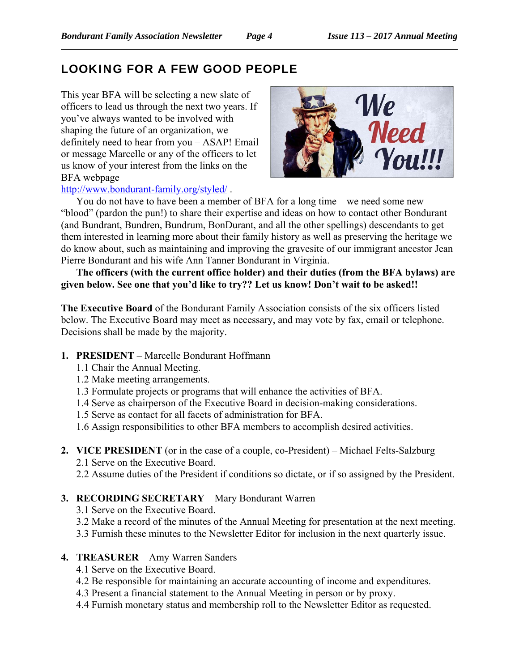# LOOKING FOR A FEW GOOD PEOPLE

This year BFA will be selecting a new slate of officers to lead us through the next two years. If you've always wanted to be involved with shaping the future of an organization, we definitely need to hear from you – ASAP! Email or message Marcelle or any of the officers to let us know of your interest from the links on the BFA webpage http://www.bondurant-family.org/styled/ .



You do not have to have been a member of BFA for a long time – we need some new "blood" (pardon the pun!) to share their expertise and ideas on how to contact other Bondurant (and Bundrant, Bundren, Bundrum, BonDurant, and all the other spellings) descendants to get them interested in learning more about their family history as well as preserving the heritage we do know about, such as maintaining and improving the gravesite of our immigrant ancestor Jean Pierre Bondurant and his wife Ann Tanner Bondurant in Virginia.

**The officers (with the current office holder) and their duties (from the BFA bylaws) are given below. See one that you'd like to try?? Let us know! Don't wait to be asked!!**

**The Executive Board** of the Bondurant Family Association consists of the six officers listed below. The Executive Board may meet as necessary, and may vote by fax, email or telephone. Decisions shall be made by the majority.

- **1. PRESIDENT** Marcelle Bondurant Hoffmann
	- 1.1 Chair the Annual Meeting.
	- 1.2 Make meeting arrangements.
	- 1.3 Formulate projects or programs that will enhance the activities of BFA.
	- 1.4 Serve as chairperson of the Executive Board in decision-making considerations.
	- 1.5 Serve as contact for all facets of administration for BFA.
	- 1.6 Assign responsibilities to other BFA members to accomplish desired activities.
- **2. VICE PRESIDENT** (or in the case of a couple, co-President) Michael Felts-Salzburg
	- 2.1 Serve on the Executive Board.
	- 2.2 Assume duties of the President if conditions so dictate, or if so assigned by the President.

# **3. RECORDING SECRETARY** – Mary Bondurant Warren

- 3.1 Serve on the Executive Board.
- 3.2 Make a record of the minutes of the Annual Meeting for presentation at the next meeting.
- 3.3 Furnish these minutes to the Newsletter Editor for inclusion in the next quarterly issue.
- **4. TREASURER** Amy Warren Sanders
	- 4.1 Serve on the Executive Board.
	- 4.2 Be responsible for maintaining an accurate accounting of income and expenditures.
	- 4.3 Present a financial statement to the Annual Meeting in person or by proxy.
	- 4.4 Furnish monetary status and membership roll to the Newsletter Editor as requested.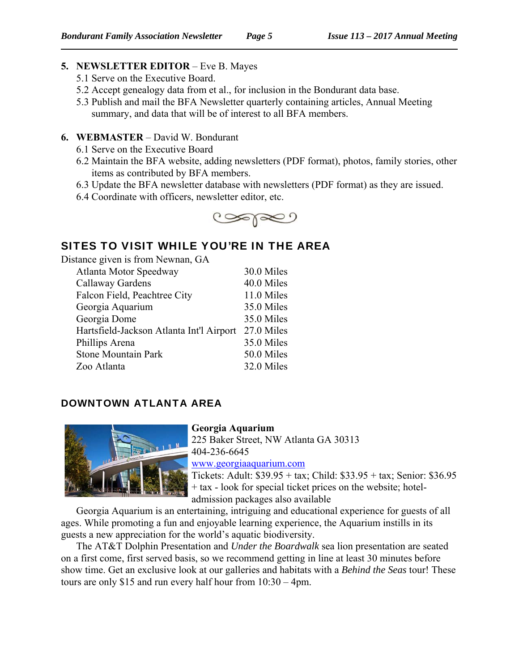# **5. NEWSLETTER EDITOR** – Eve B. Mayes

- 5.1 Serve on the Executive Board.
- 5.2 Accept genealogy data from et al., for inclusion in the Bondurant data base.
- 5.3 Publish and mail the BFA Newsletter quarterly containing articles, Annual Meeting summary, and data that will be of interest to all BFA members.
- **6. WEBMASTER** David W. Bondurant
	- 6.1 Serve on the Executive Board
	- 6.2 Maintain the BFA website, adding newsletters (PDF format), photos, family stories, other items as contributed by BFA members.
	- 6.3 Update the BFA newsletter database with newsletters (PDF format) as they are issued.
	- 6.4 Coordinate with officers, newsletter editor, etc.



# SITES TO VISIT WHILE YOU'RE IN THE AREA

Distance given is from Newnan, GA

| Atlanta Motor Speedway                   | 30.0 Miles |
|------------------------------------------|------------|
| Callaway Gardens                         | 40.0 Miles |
| Falcon Field, Peachtree City             | 11.0 Miles |
| Georgia Aquarium                         | 35.0 Miles |
| Georgia Dome                             | 35.0 Miles |
| Hartsfield-Jackson Atlanta Int'l Airport | 27.0 Miles |
| Phillips Arena                           | 35.0 Miles |
| <b>Stone Mountain Park</b>               | 50.0 Miles |
| Zoo Atlanta                              | 32.0 Miles |
|                                          |            |

# DOWNTOWN ATLANTA AREA



**Georgia Aquarium**  225 Baker Street, NW Atlanta GA 30313 404-236-6645 www.georgiaaquarium.com Tickets: Adult: \$39.95 + tax; Child: \$33.95 + tax; Senior: \$36.95 + tax - look for special ticket prices on the website; hoteladmission packages also available

Georgia Aquarium is an entertaining, intriguing and educational experience for guests of all ages. While promoting a fun and enjoyable learning experience, the Aquarium instills in its guests a new appreciation for the world's aquatic biodiversity.

The AT&T Dolphin Presentation and *Under the Boardwalk* sea lion presentation are seated on a first come, first served basis, so we recommend getting in line at least 30 minutes before show time. Get an exclusive look at our galleries and habitats with a *Behind the Seas* tour! These tours are only \$15 and run every half hour from 10:30 – 4pm.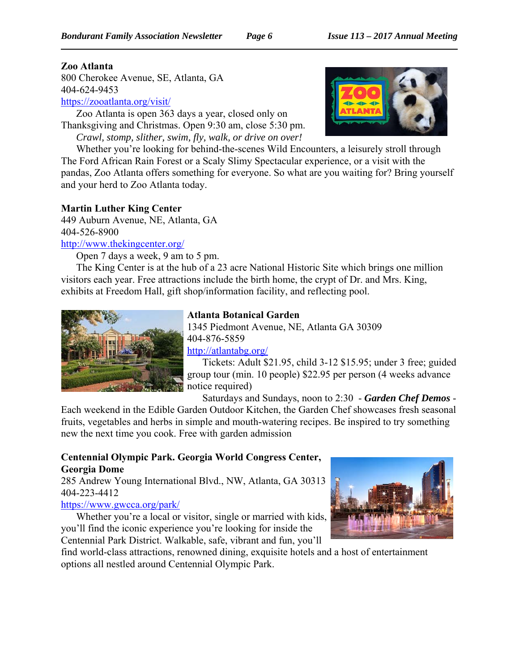### **Zoo Atlanta**

800 Cherokee Avenue, SE, Atlanta, GA 404-624-9453 https://zooatlanta.org/visit/

Zoo Atlanta is open 363 days a year, closed only on Thanksgiving and Christmas. Open 9:30 am, close 5:30 pm.

*Crawl, stomp, slither, swim, fly, walk, or drive on over!* Whether you're looking for behind-the-scenes Wild Encounters, a leisurely stroll through The Ford African Rain Forest or a Scaly Slimy Spectacular experience, or a visit with the pandas, Zoo Atlanta offers something for everyone. So what are you waiting for? Bring yourself

# **Martin Luther King Center**

449 Auburn Avenue, NE, Atlanta, GA 404-526-8900

and your herd to Zoo Atlanta today.

http://www.thekingcenter.org/

Open 7 days a week, 9 am to 5 pm.

The King Center is at the hub of a 23 acre National Historic Site which brings one million visitors each year. Free attractions include the birth home, the crypt of Dr. and Mrs. King, exhibits at Freedom Hall, gift shop/information facility, and reflecting pool.



# **Atlanta Botanical Garden**

1345 Piedmont Avenue, NE, Atlanta GA 30309 404-876-5859

http://atlantabg.org/

Tickets: Adult \$21.95, child 3-12 \$15.95; under 3 free; guided group tour (min. 10 people) \$22.95 per person (4 weeks advance notice required)

Saturdays and Sundays, noon to 2:30 - *Garden Chef Demos* -

Each weekend in the Edible Garden Outdoor Kitchen, the Garden Chef showcases fresh seasonal fruits, vegetables and herbs in simple and mouth-watering recipes. Be inspired to try something new the next time you cook. Free with garden admission

# **Centennial Olympic Park. Georgia World Congress Center, Georgia Dome**

285 Andrew Young International Blvd., NW, Atlanta, GA 30313 404-223-4412

# https://www.gwcca.org/park/

Whether you're a local or visitor, single or married with kids, you'll find the iconic experience you're looking for inside the Centennial Park District. Walkable, safe, vibrant and fun, you'll



find world-class attractions, renowned dining, exquisite hotels and a host of entertainment options all nestled around Centennial Olympic Park.

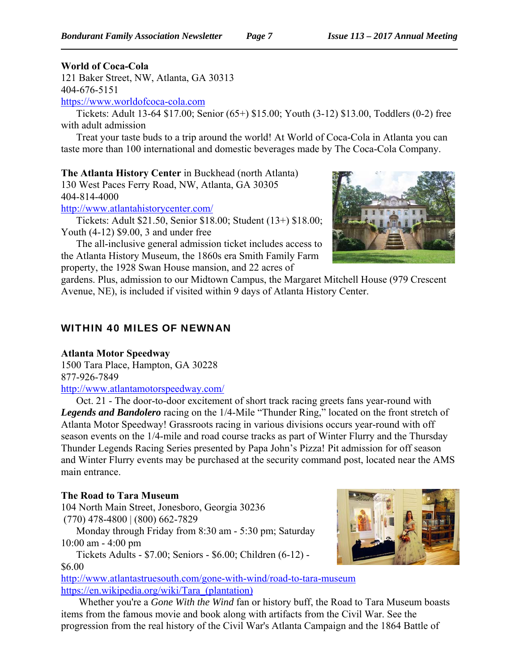# **World of Coca-Cola**

121 Baker Street, NW, Atlanta, GA 30313 404-676-5151

https://www.worldofcoca-cola.com

Tickets: Adult 13-64 \$17.00; Senior (65+) \$15.00; Youth (3-12) \$13.00, Toddlers (0-2) free with adult admission

Treat your taste buds to a trip around the world! At World of Coca-Cola in Atlanta you can taste more than 100 international and domestic beverages made by The Coca-Cola Company.

**The Atlanta History Center** in Buckhead (north Atlanta)

130 West Paces Ferry Road, NW, Atlanta, GA 30305 404-814-4000

http://www.atlantahistorycenter.com/

Tickets: Adult \$21.50, Senior \$18.00; Student (13+) \$18.00; Youth (4-12) \$9.00, 3 and under free

The all-inclusive general admission ticket includes access to the Atlanta History Museum, the 1860s era Smith Family Farm property, the 1928 Swan House mansion, and 22 acres of



gardens. Plus, admission to our Midtown Campus, the Margaret Mitchell House (979 Crescent Avenue, NE), is included if visited within 9 days of Atlanta History Center.

# WITHIN 40 MILES OF NEWNAN

**Atlanta Motor Speedway** 1500 Tara Place, Hampton, GA 30228 877-926-7849

http://www.atlantamotorspeedway.com/

Oct. 21 - The door-to-door excitement of short track racing greets fans year-round with *Legends and Bandolero* racing on the 1/4-Mile "Thunder Ring," located on the front stretch of Atlanta Motor Speedway! Grassroots racing in various divisions occurs year-round with off season events on the 1/4-mile and road course tracks as part of Winter Flurry and the Thursday Thunder Legends Racing Series presented by Papa John's Pizza! Pit admission for off season and Winter Flurry events may be purchased at the security command post, located near the AMS main entrance.

# **The Road to Tara Museum**

104 North Main Street, Jonesboro, Georgia 30236 (770) 478-4800 | (800) 662-7829

Monday through Friday from 8:30 am - 5:30 pm; Saturday 10:00 am - 4:00 pm

Tickets Adults - \$7.00; Seniors - \$6.00; Children (6-12) -

\$6.00

http://www.atlantastruesouth.com/gone-with-wind/road-to-tara-museum https://en.wikipedia.org/wiki/Tara\_(plantation)

 Whether you're a *Gone With the Wind* fan or history buff, the Road to Tara Museum boasts items from the famous movie and book along with artifacts from the Civil War. See the progression from the real history of the Civil War's Atlanta Campaign and the 1864 Battle of

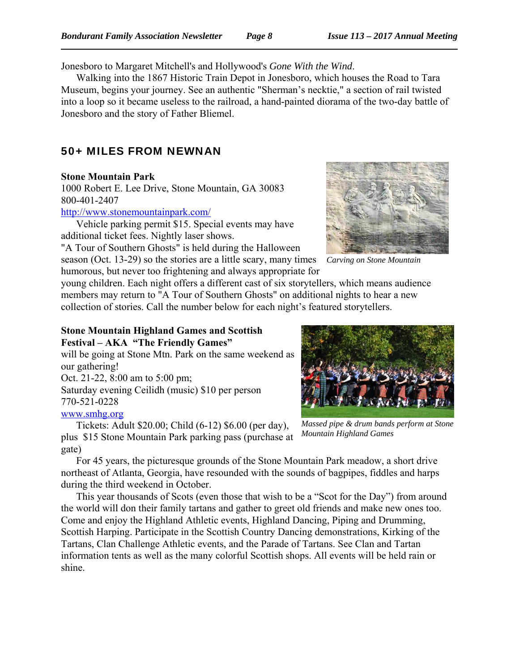Jonesboro to Margaret Mitchell's and Hollywood's *Gone With the Wind*.

Walking into the 1867 Historic Train Depot in Jonesboro, which houses the Road to Tara Museum, begins your journey. See an authentic "Sherman's necktie," a section of rail twisted into a loop so it became useless to the railroad, a hand-painted diorama of the two-day battle of Jonesboro and the story of Father Bliemel.

# 50+ MILES FROM NEWNAN

### **Stone Mountain Park**

1000 Robert E. Lee Drive, Stone Mountain, GA 30083 800-401-2407

http://www.stonemountainpark.com/

Vehicle parking permit \$15. Special events may have additional ticket fees. Nightly laser shows.

"A Tour of Southern Ghosts" is held during the Halloween season (Oct. 13-29) so the stories are a little scary, many times humorous, but never too frightening and always appropriate for



*Carving on Stone Mountain*

young children. Each night offers a different cast of six storytellers, which means audience members may return to "A Tour of Southern Ghosts" on additional nights to hear a new collection of stories. Call the number below for each night's featured storytellers.

#### **Stone Mountain Highland Games and Scottish Festival – AKA "The Friendly Games"**

will be going at Stone Mtn. Park on the same weekend as our gathering! Oct. 21-22, 8:00 am to 5:00 pm; Saturday evening Ceilidh (music) \$10 per person 770-521-0228 www.smhg.org

Tickets: Adult \$20.00; Child (6-12) \$6.00 (per day), plus \$15 Stone Mountain Park parking pass (purchase at gate)

*Massed pipe & drum bands perform at Stone Mountain Highland Games*

For 45 years, the picturesque grounds of the Stone Mountain Park meadow, a short drive northeast of Atlanta, Georgia, have resounded with the sounds of bagpipes, fiddles and harps during the third weekend in October.

This year thousands of Scots (even those that wish to be a "Scot for the Day") from around the world will don their family tartans and gather to greet old friends and make new ones too. Come and enjoy the Highland Athletic events, Highland Dancing, Piping and Drumming, Scottish Harping. Participate in the Scottish Country Dancing demonstrations, Kirking of the Tartans, Clan Challenge Athletic events, and the Parade of Tartans. See Clan and Tartan information tents as well as the many colorful Scottish shops. All events will be held rain or shine.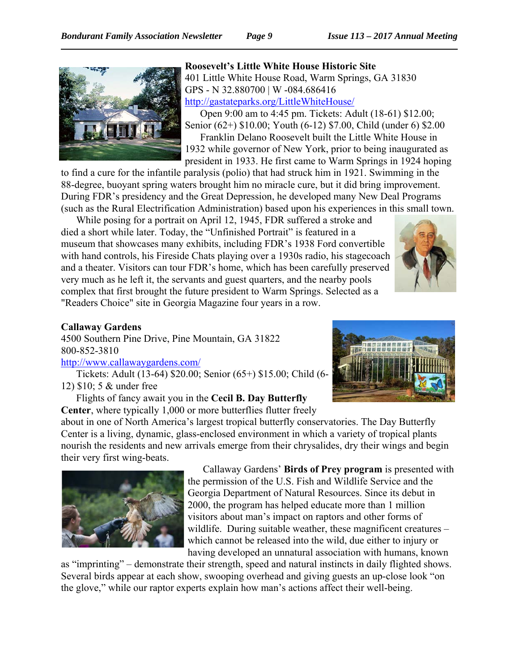

**Roosevelt's Little White House Historic Site** 401 Little White House Road, Warm Springs, GA 31830 GPS - N 32.880700 | W -084.686416 http://gastateparks.org/LittleWhiteHouse/ Open 9:00 am to 4:45 pm. Tickets: Adult (18-61) \$12.00;

Senior (62+) \$10.00; Youth (6-12) \$7.00, Child (under 6) \$2.00 Franklin Delano Roosevelt built the Little White House in 1932 while governor of New York, prior to being inaugurated as president in 1933. He first came to Warm Springs in 1924 hoping

to find a cure for the infantile paralysis (polio) that had struck him in 1921. Swimming in the 88-degree, buoyant spring waters brought him no miracle cure, but it did bring improvement. During FDR's presidency and the Great Depression, he developed many New Deal Programs (such as the Rural Electrification Administration) based upon his experiences in this small town.

While posing for a portrait on April 12, 1945, FDR suffered a stroke and died a short while later. Today, the "Unfinished Portrait" is featured in a museum that showcases many exhibits, including FDR's 1938 Ford convertible with hand controls, his Fireside Chats playing over a 1930s radio, his stagecoach and a theater. Visitors can tour FDR's home, which has been carefully preserved very much as he left it, the servants and guest quarters, and the nearby pools complex that first brought the future president to Warm Springs. Selected as a "Readers Choice" site in Georgia Magazine four years in a row.



#### **Callaway Gardens**

4500 Southern Pine Drive, Pine Mountain, GA 31822 800-852-3810

# http://www.callawaygardens.com/

Tickets: Adult (13-64) \$20.00; Senior (65+) \$15.00; Child (6- 12) \$10; 5 & under free

Flights of fancy await you in the **Cecil B. Day Butterfly Center**, where typically 1,000 or more butterflies flutter freely



about in one of North America's largest tropical butterfly conservatories. The Day Butterfly Center is a living, dynamic, glass-enclosed environment in which a variety of tropical plants nourish the residents and new arrivals emerge from their chrysalides, dry their wings and begin their very first wing-beats.



Callaway Gardens' **Birds of Prey program** is presented with the permission of the U.S. Fish and Wildlife Service and the Georgia Department of Natural Resources. Since its debut in 2000, the program has helped educate more than 1 million visitors about man's impact on raptors and other forms of wildlife. During suitable weather, these magnificent creatures – which cannot be released into the wild, due either to injury or having developed an unnatural association with humans, known

as "imprinting" – demonstrate their strength, speed and natural instincts in daily flighted shows. Several birds appear at each show, swooping overhead and giving guests an up-close look "on the glove," while our raptor experts explain how man's actions affect their well-being.